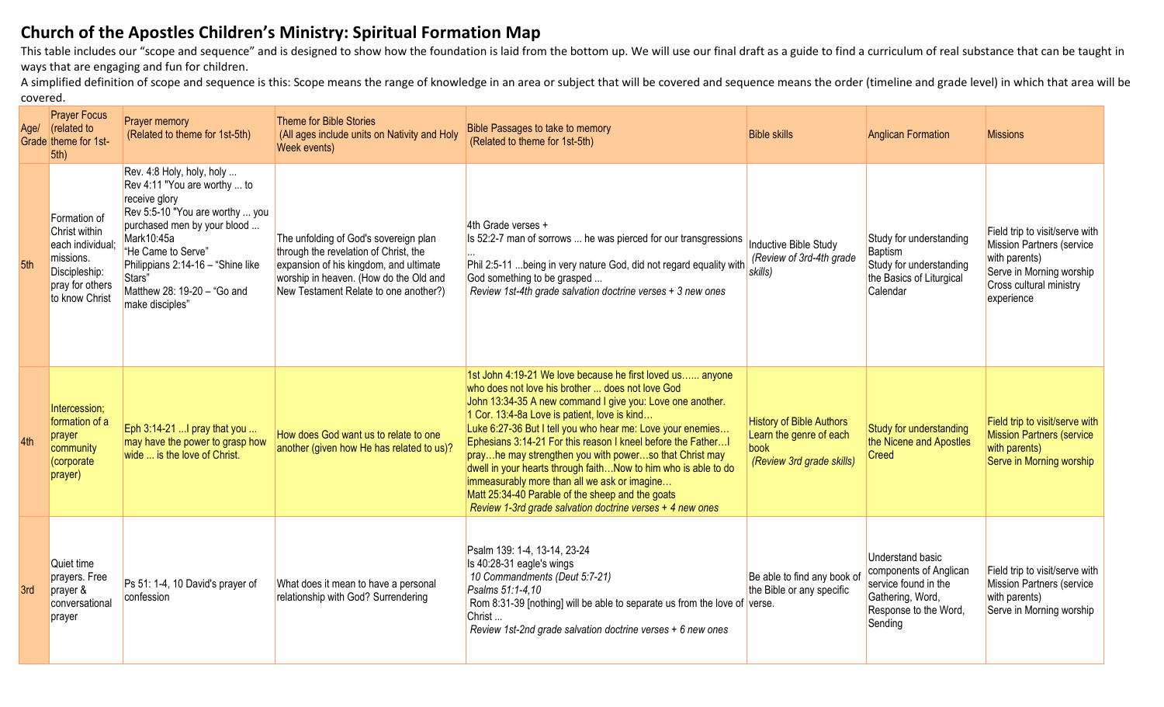## **Church of the Apostles Children's Ministry: Spiritual Formation Map**

This table includes our "scope and sequence" and is designed to show how the foundation is laid from the bottom up. We will use our final draft as a guide to find a curriculum of real substance that can be taught in ways that are engaging and fun for children.

A simplified definition of scope and sequence is this: Scope means the range of knowledge in an area or subject that will be covered and sequence means the order (timeline and grade level) in which that area will be covered.

| Age/ | <b>Prayer Focus</b><br>$\sqrt{\phantom{a}}$ (related to<br>Grade theme for 1st-<br>5th)                              | <b>Prayer memory</b><br>(Related to theme for 1st-5th)                                                                                                                                                                                                                            | Theme for Bible Stories<br>(All ages include units on Nativity and Holy<br>Week events)                                                                                                                     | Bible Passages to take to memory<br>(Related to theme for 1st-5th)                                                                                                                                                                                                                                                                                                                                                                                                                                                                                                                                                                                   | <b>Bible skills</b>                                                                             | <b>Anglican Formation</b>                                                                                                         | <b>Missions</b>                                                                                                                                          |
|------|----------------------------------------------------------------------------------------------------------------------|-----------------------------------------------------------------------------------------------------------------------------------------------------------------------------------------------------------------------------------------------------------------------------------|-------------------------------------------------------------------------------------------------------------------------------------------------------------------------------------------------------------|------------------------------------------------------------------------------------------------------------------------------------------------------------------------------------------------------------------------------------------------------------------------------------------------------------------------------------------------------------------------------------------------------------------------------------------------------------------------------------------------------------------------------------------------------------------------------------------------------------------------------------------------------|-------------------------------------------------------------------------------------------------|-----------------------------------------------------------------------------------------------------------------------------------|----------------------------------------------------------------------------------------------------------------------------------------------------------|
| 5th  | Formation of<br>Christ within<br>each individual;<br>missions.<br>Discipleship:<br>pray for others<br>to know Christ | Rev. 4:8 Holy, holy, holy<br>Rev 4:11 "You are worthy  to<br>receive glory<br>Rev 5:5-10 "You are worthy  you<br>purchased men by your blood<br>Mark10:45a<br>"He Came to Serve"<br>Philippians 2:14-16 - "Shine like<br>Stars"<br>Matthew 28: 19-20 - "Go and<br>make disciples" | The unfolding of God's sovereign plan<br>through the revelation of Christ, the<br>expansion of his kingdom, and ultimate<br>worship in heaven. (How do the Old and<br>New Testament Relate to one another?) | 4th Grade verses +<br>Is 52:2-7 man of sorrows  he was pierced for our transgressions<br>Phil 2:5-11  being in very nature God, did not regard equality with<br>God something to be grasped<br>Review 1st-4th grade salvation doctrine verses + 3 new ones                                                                                                                                                                                                                                                                                                                                                                                           | Inductive Bible Study<br>(Review of 3rd-4th grade<br>skills)                                    | Study for understanding<br>Baptism<br>Study for understanding<br>the Basics of Liturgical<br>Calendar                             | Field trip to visit/serve with<br><b>Mission Partners (service</b><br>with parents)<br>Serve in Morning worship<br>Cross cultural ministry<br>experience |
| 4th  | Intercession;<br>formation of a<br>prayer<br>community<br>(corporate<br>prayer)                                      | Eph 3:14-21  I pray that you<br>may have the power to grasp how<br>wide  is the love of Christ.                                                                                                                                                                                   | How does God want us to relate to one<br>another (given how He has related to us)?                                                                                                                          | 1st John 4:19-21 We love because he first loved us anyone<br>who does not love his brother  does not love God<br>John 13:34-35 A new command I give you: Love one another.<br>1 Cor. 13:4-8a Love is patient, love is kind<br>Luke 6:27-36 But I tell you who hear me: Love your enemies<br>Ephesians 3:14-21 For this reason I kneel before the Father<br>prayhe may strengthen you with powerso that Christ may<br>dwell in your hearts through faithNow to him who is able to do<br>immeasurably more than all we ask or imagine<br>Matt 25:34-40 Parable of the sheep and the goats<br>Review 1-3rd grade salvation doctrine verses + 4 new ones | <b>History of Bible Authors</b><br>Learn the genre of each<br>book<br>(Review 3rd grade skills) | Study for understanding<br>the Nicene and Apostles<br>Creed                                                                       | Field trip to visit/serve with<br><b>Mission Partners (service</b><br>with parents)<br>Serve in Morning worship                                          |
| 3rd  | Quiet time<br>prayers. Free<br>prayer &<br>conversational<br>prayer                                                  | Ps 51: 1-4, 10 David's prayer of<br>confession                                                                                                                                                                                                                                    | What does it mean to have a personal<br>relationship with God? Surrendering                                                                                                                                 | Psalm 139: 1-4, 13-14, 23-24<br>Is 40:28-31 eagle's wings<br>10 Commandments (Deut 5:7-21)<br>Psalms 51:1-4,10<br>Rom 8:31-39 [nothing] will be able to separate us from the love of verse.<br>Christ<br>Review 1st-2nd grade salvation doctrine verses + 6 new ones                                                                                                                                                                                                                                                                                                                                                                                 | Be able to find any book of<br>the Bible or any specific                                        | <b>Understand basic</b><br>components of Anglican<br>service found in the<br>Gathering, Word,<br>Response to the Word,<br>Sending | Field trip to visit/serve with<br><b>Mission Partners (service</b><br>with parents)<br>Serve in Morning worship                                          |